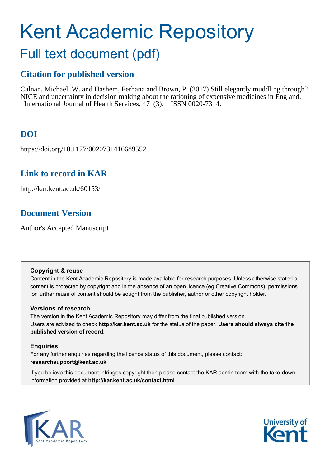# Kent Academic Repository

## Full text document (pdf)

## **Citation for published version**

Calnan, Michael .W. and Hashem, Ferhana and Brown, P (2017) Still elegantly muddling through? NICE and uncertainty in decision making about the rationing of expensive medicines in England. International Journal of Health Services, 47 (3). ISSN 0020-7314.

## **DOI**

https://doi.org/10.1177/0020731416689552

## **Link to record in KAR**

http://kar.kent.ac.uk/60153/

## **Document Version**

Author's Accepted Manuscript

#### **Copyright & reuse**

Content in the Kent Academic Repository is made available for research purposes. Unless otherwise stated all content is protected by copyright and in the absence of an open licence (eg Creative Commons), permissions for further reuse of content should be sought from the publisher, author or other copyright holder.

#### **Versions of research**

The version in the Kent Academic Repository may differ from the final published version. Users are advised to check **http://kar.kent.ac.uk** for the status of the paper. **Users should always cite the published version of record.**

#### **Enquiries**

For any further enquiries regarding the licence status of this document, please contact: **researchsupport@kent.ac.uk**

If you believe this document infringes copyright then please contact the KAR admin team with the take-down information provided at **http://kar.kent.ac.uk/contact.html**



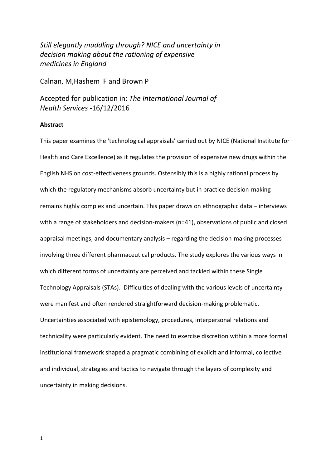*Still elegantly muddling through? NICE and uncertainty in decision making about the rationing of expensive medicines in England* 

Calnan, M,Hashem F and Brown P

Accepted for publication in: *The International Journal of Health Services -*16/12/2016

#### **Abstract**

This paper examines the 'technological appraisals' carried out by NICE (National Institute for Health and Care Excellence) as it regulates the provision of expensive new drugs within the English NHS on cost-effectiveness grounds. Ostensibly this is a highly rational process by which the regulatory mechanisms absorb uncertainty but in practice decision-making remains highly complex and uncertain. This paper draws on ethnographic data – interviews with a range of stakeholders and decision-makers (n=41), observations of public and closed appraisal meetings, and documentary analysis – regarding the decision-making processes involving three different pharmaceutical products. The study explores the various ways in which different forms of uncertainty are perceived and tackled within these Single Technology Appraisals (STAs). Difficulties of dealing with the various levels of uncertainty were manifest and often rendered straightforward decision-making problematic. Uncertainties associated with epistemology, procedures, interpersonal relations and technicality were particularly evident. The need to exercise discretion within a more formal institutional framework shaped a pragmatic combining of explicit and informal, collective and individual, strategies and tactics to navigate through the layers of complexity and uncertainty in making decisions.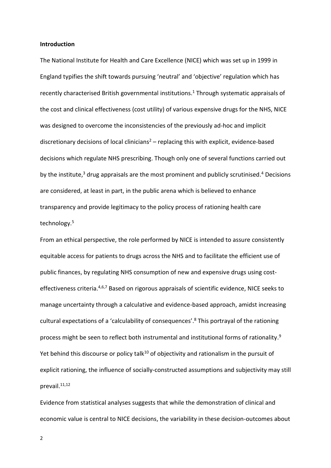#### **Introduction**

The National Institute for Health and Care Excellence (NICE) which was set up in 1999 in England typifies the shift towards pursuing 'neutral' and 'objective' regulation which has recently characterised British governmental institutions.<sup>1</sup> Through systematic appraisals of the cost and clinical effectiveness (cost utility) of various expensive drugs for the NHS, NICE was designed to overcome the inconsistencies of the previously ad-hoc and implicit discretionary decisions of local clinicians<sup>2</sup> – replacing this with explicit, evidence-based decisions which regulate NHS prescribing. Though only one of several functions carried out by the institute,<sup>3</sup> drug appraisals are the most prominent and publicly scrutinised.<sup>4</sup> Decisions are considered, at least in part, in the public arena which is believed to enhance transparency and provide legitimacy to the policy process of rationing health care technology.<sup>5</sup>

From an ethical perspective, the role performed by NICE is intended to assure consistently equitable access for patients to drugs across the NHS and to facilitate the efficient use of public finances, by regulating NHS consumption of new and expensive drugs using costeffectiveness criteria.<sup>4,6,7</sup> Based on rigorous appraisals of scientific evidence, NICE seeks to manage uncertainty through a calculative and evidence-based approach, amidst increasing cultural expectations of a 'calculability of consequences'.<sup>8</sup> This portrayal of the rationing process might be seen to reflect both instrumental and institutional forms of rationality.<sup>9</sup> Yet behind this discourse or policy talk<sup>10</sup> of objectivity and rationalism in the pursuit of explicit rationing, the influence of socially-constructed assumptions and subjectivity may still prevail.<sup>11,12</sup>

Evidence from statistical analyses suggests that while the demonstration of clinical and economic value is central to NICE decisions, the variability in these decision-outcomes about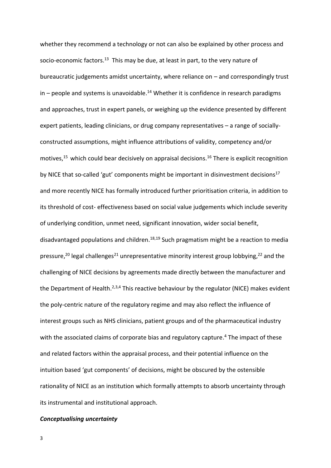whether they recommend a technology or not can also be explained by other process and socio-economic factors.<sup>13</sup> This may be due, at least in part, to the very nature of bureaucratic judgements amidst uncertainty, where reliance on  $-$  and correspondingly trust  $in$  – people and systems is unavoidable.<sup>14</sup> Whether it is confidence in research paradigms and approaches, trust in expert panels, or weighing up the evidence presented by different expert patients, leading clinicians, or drug company representatives  $-$  a range of sociallyconstructed assumptions, might influence attributions of validity, competency and/or motives,<sup>15</sup> which could bear decisively on appraisal decisions.<sup>16</sup> There is explicit recognition by NICE that so-called 'gut' components might be important in disinvestment decisions<sup>17</sup> and more recently NICE has formally introduced further prioritisation criteria, in addition to its threshold of cost- effectiveness based on social value judgements which include severity of underlying condition, unmet need, significant innovation, wider social benefit, disadvantaged populations and children.<sup>18,19</sup> Such pragmatism might be a reaction to media pressure,<sup>20</sup> legal challenges<sup>21</sup> unrepresentative minority interest group lobbying,<sup>22</sup> and the challenging of NICE decisions by agreements made directly between the manufacturer and the Department of Health.<sup>2,3,4</sup> This reactive behaviour by the regulator (NICE) makes evident the poly-centric nature of the regulatory regime and may also reflect the influence of interest groups such as NHS clinicians, patient groups and of the pharmaceutical industry with the associated claims of corporate bias and regulatory capture.<sup>4</sup> The impact of these and related factors within the appraisal process, and their potential influence on the intuition based 'gut components' of decisions, might be obscured by the ostensible rationality of NICE as an institution which formally attempts to absorb uncertainty through its instrumental and institutional approach.

#### *Conceptualising uncertainty*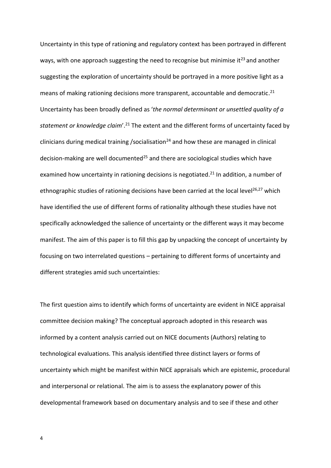Uncertainty in this type of rationing and regulatory context has been portrayed in different ways, with one approach suggesting the need to recognise but minimise it<sup>23</sup> and another suggesting the exploration of uncertainty should be portrayed in a more positive light as a means of making rationing decisions more transparent, accountable and democratic.<sup>21</sup> Uncertainty has been broadly defined as 'the normal determinant or unsettled quality of a statement or knowledge claim'.<sup>21</sup> The extent and the different forms of uncertainty faced by clinicians during medical training /socialisation<sup>24</sup> and how these are managed in clinical decision-making are well documented<sup>25</sup> and there are sociological studies which have examined how uncertainty in rationing decisions is negotiated.<sup>21</sup> In addition, a number of ethnographic studies of rationing decisions have been carried at the local level<sup>26,27</sup> which have identified the use of different forms of rationality although these studies have not specifically acknowledged the salience of uncertainty or the different ways it may become manifest. The aim of this paper is to fill this gap by unpacking the concept of uncertainty by focusing on two interrelated questions - pertaining to different forms of uncertainty and different strategies amid such uncertainties:

The first question aims to identify which forms of uncertainty are evident in NICE appraisal committee decision making? The conceptual approach adopted in this research was informed by a content analysis carried out on NICE documents (Authors) relating to technological evaluations. This analysis identified three distinct layers or forms of uncertainty which might be manifest within NICE appraisals which are epistemic, procedural and interpersonal or relational. The aim is to assess the explanatory power of this developmental framework based on documentary analysis and to see if these and other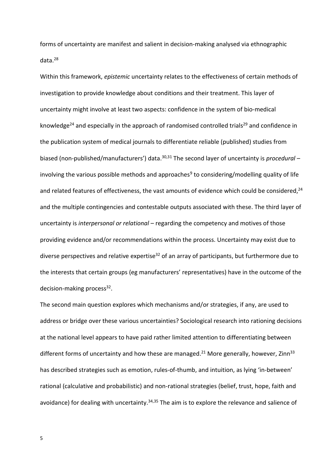forms of uncertainty are manifest and salient in decision-making analysed via ethnographic data.<sup>28</sup>

Within this framework, *epistemic* uncertainty relates to the effectiveness of certain methods of investigation to provide knowledge about conditions and their treatment. This layer of uncertainty might involve at least two aspects: confidence in the system of bio-medical knowledge<sup>24</sup> and especially in the approach of randomised controlled trials<sup>29</sup> and confidence in the publication system of medical journals to differentiate reliable (published) studies from biased (non-published/manufacturers') data.<sup>30,31</sup> The second layer of uncertainty is *procedural* involving the various possible methods and approaches<sup>9</sup> to considering/modelling quality of life and related features of effectiveness, the vast amounts of evidence which could be considered,<sup>24</sup> and the multiple contingencies and contestable outputs associated with these. The third layer of uncertainty is *interpersonal or relational* – regarding the competency and motives of those providing evidence and/or recommendations within the process. Uncertainty may exist due to diverse perspectives and relative expertise<sup>32</sup> of an array of participants, but furthermore due to the interests that certain groups (eg manufacturers' representatives) have in the outcome of the decision-making process<sup>32</sup>.

The second main question explores which mechanisms and/or strategies, if any, are used to address or bridge over these various uncertainties? Sociological research into rationing decisions at the national level appears to have paid rather limited attention to differentiating between different forms of uncertainty and how these are managed.<sup>21</sup> More generally, however, Zinn<sup>33</sup> has described strategies such as emotion, rules-of-thumb, and intuition, as lying 'in-between' rational (calculative and probabilistic) and non-rational strategies (belief, trust, hope, faith and avoidance) for dealing with uncertainty.<sup>34,35</sup> The aim is to explore the relevance and salience of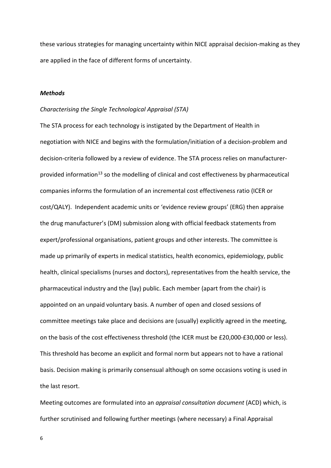these various strategies for managing uncertainty within NICE appraisal decision-making as they are applied in the face of different forms of uncertainty.

#### *Methods*

#### *Characterising the Single Technological Appraisal (STA)*

The STA process for each technology is instigated by the Department of Health in negotiation with NICE and begins with the formulation/initiation of a decision-problem and decision-criteria followed by a review of evidence. The STA process relies on manufacturerprovided information<sup>13</sup> so the modelling of clinical and cost effectiveness by pharmaceutical companies informs the formulation of an incremental cost effectiveness ratio (ICER or cost/QALY). Independent academic units or 'evidence review groups' (ERG) then appraise the drug manufacturer's (DM) submission along with official feedback statements from expert/professional organisations, patient groups and other interests. The committee is made up primarily of experts in medical statistics, health economics, epidemiology, public health, clinical specialisms (nurses and doctors), representatives from the health service, the pharmaceutical industry and the (lay) public. Each member (apart from the chair) is appointed on an unpaid voluntary basis. A number of open and closed sessions of committee meetings take place and decisions are (usually) explicitly agreed in the meeting, on the basis of the cost effectiveness threshold (the ICER must be £20,000-£30,000 or less). This threshold has become an explicit and formal norm but appears not to have a rational basis. Decision making is primarily consensual although on some occasions voting is used in the last resort.

Meeting outcomes are formulated into an *appraisal consultation document* (ACD) which, is further scrutinised and following further meetings (where necessary) a Final Appraisal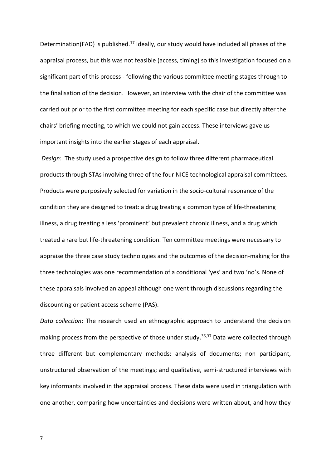Determination(FAD) is published.<sup>17</sup> Ideally, our study would have included all phases of the appraisal process, but this was not feasible (access, timing) so this investigation focused on a significant part of this process - following the various committee meeting stages through to the finalisation of the decision. However, an interview with the chair of the committee was carried out prior to the first committee meeting for each specific case but directly after the chairs' briefing meeting, to which we could not gain access. These interviews gave us important insights into the earlier stages of each appraisal.

*Design*: The study used a prospective design to follow three different pharmaceutical products through STAs involving three of the four NICE technological appraisal committees. Products were purposively selected for variation in the socio-cultural resonance of the condition they are designed to treat: a drug treating a common type of life-threatening illness, a drug treating a less 'prominent' but prevalent chronic illness, and a drug which treated a rare but life-threatening condition. Ten committee meetings were necessary to appraise the three case study technologies and the outcomes of the decision-making for the three technologies was one recommendation of a conditional 'yes' and two 'no's. None of these appraisals involved an appeal although one went through discussions regarding the discounting or patient access scheme (PAS).

*Data collection*: The research used an ethnographic approach to understand the decision making process from the perspective of those under study.<sup>36,37</sup> Data were collected through three different but complementary methods: analysis of documents; non participant, unstructured observation of the meetings; and qualitative, semi-structured interviews with key informants involved in the appraisal process. These data were used in triangulation with one another, comparing how uncertainties and decisions were written about, and how they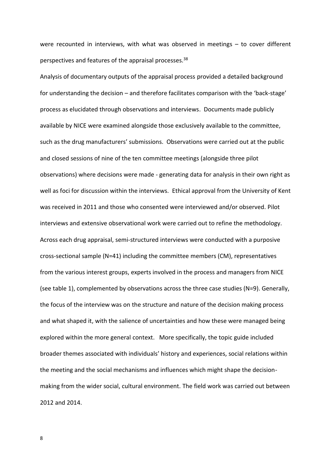were recounted in interviews, with what was observed in meetings  $-$  to cover different perspectives and features of the appraisal processes.<sup>38</sup>

Analysis of documentary outputs of the appraisal process provided a detailed background for understanding the decision – and therefore facilitates comparison with the 'back-stage' process as elucidated through observations and interviews. Documents made publicly available by NICE were examined alongside those exclusively available to the committee, such as the drug manufacturers' submissions. Observations were carried out at the public and closed sessions of nine of the ten committee meetings (alongside three pilot observations) where decisions were made - generating data for analysis in their own right as well as foci for discussion within the interviews. Ethical approval from the University of Kent was received in 2011 and those who consented were interviewed and/or observed. Pilot interviews and extensive observational work were carried out to refine the methodology. Across each drug appraisal, semi-structured interviews were conducted with a purposive cross-sectional sample (N=41) including the committee members (CM), representatives from the various interest groups, experts involved in the process and managers from NICE (see table 1), complemented by observations across the three case studies (N=9). Generally, the focus of the interview was on the structure and nature of the decision making process and what shaped it, with the salience of uncertainties and how these were managed being explored within the more general context. More specifically, the topic guide included broader themes associated with individuals' history and experiences, social relations within the meeting and the social mechanisms and influences which might shape the decisionmaking from the wider social, cultural environment. The field work was carried out between 2012 and 2014.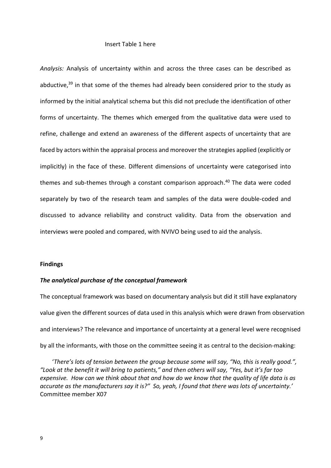#### Insert Table 1 here

*Analysis:* Analysis of uncertainty within and across the three cases can be described as abductive, $39$  in that some of the themes had already been considered prior to the study as informed by the initial analytical schema but this did not preclude the identification of other forms of uncertainty. The themes which emerged from the qualitative data were used to refine, challenge and extend an awareness of the different aspects of uncertainty that are faced by actors within the appraisal process and moreover the strategies applied (explicitly or implicitly) in the face of these. Different dimensions of uncertainty were categorised into themes and sub-themes through a constant comparison approach.<sup>40</sup> The data were coded separately by two of the research team and samples of the data were double-coded and discussed to advance reliability and construct validity. Data from the observation and interviews were pooled and compared, with NVIVO being used to aid the analysis.

#### **Findings**

#### *The analytical purchase of the conceptual framework*

The conceptual framework was based on documentary analysis but did it still have explanatory value given the different sources of data used in this analysis which were drawn from observation and interviews? The relevance and importance of uncertainty at a general level were recognised by all the informants, with those on the committee seeing it as central to the decision-making:

'There's lots of tension between the group because some will say, "No, this is really good.", "Look at the benefit it will bring to patients," and then others will say, "Yes, but it's far too *expensive. How can we think about that and how do we know that the quality of life data is as*  accurate as the manufacturers say it is?" So, yeah, I found that there was lots of uncertainty.' Committee member X07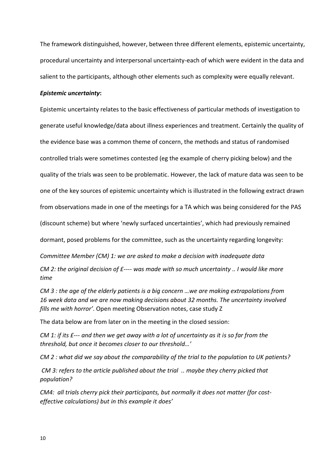The framework distinguished, however, between three different elements, epistemic uncertainty, procedural uncertainty and interpersonal uncertainty-each of which were evident in the data and salient to the participants, although other elements such as complexity were equally relevant.

#### *Epistemic uncertainty***:**

Epistemic uncertainty relates to the basic effectiveness of particular methods of investigation to generate useful knowledge/data about illness experiences and treatment. Certainly the quality of the evidence base was a common theme of concern, the methods and status of randomised controlled trials were sometimes contested (eg the example of cherry picking below) and the quality of the trials was seen to be problematic. However, the lack of mature data was seen to be one of the key sources of epistemic uncertainty which is illustrated in the following extract drawn from observations made in one of the meetings for a TA which was being considered for the PAS (discount scheme) but where 'newly surfaced uncertainties', which had previously remained dormant, posed problems for the committee, such as the uncertainty regarding longevity:

*Committee Member (CM) 1: we are asked to make a decision with inadequate data CM 2: the original decision of £---- was made with so much uncertainty .. I would like more time* 

*CM 3 : the age of the elderly patients is a big concern ...we are making extrapolations from 16 week data and we are now making decisions about 32 months. The uncertainty involved fills me with horror'*. Open meeting Observation notes, case study Z

The data below are from later on in the meeting in the closed session:

*CM 1: if its £--- and then we get away with a lot of uncertainty as it is so far from the threshold, but once it becomes closer to our threshold...'* 

*CM 2 : what did we say about the comparability of the trial to the population to UK patients?* 

*CM 3: refers to the article published about the trial .. maybe they cherry picked that population?* 

*CM4: all trials cherry pick their participants, but normally it does not matter (for costeffective calculations) but in this example it does'*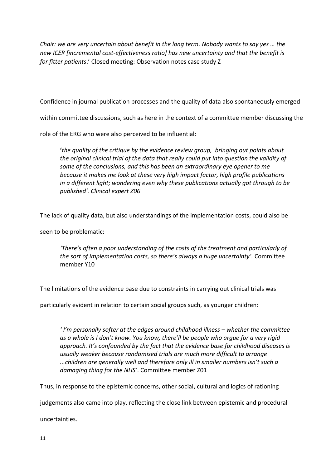*Chair: we are very uncertain about benefit in the long term. Nobody wants to say yes ... the new ICER [incremental cost-effectiveness ratio] has new uncertainty and that the benefit is for fitter patients.'* Closed meeting: Observation notes case study Z

Confidence in journal publication processes and the quality of data also spontaneously emerged

within committee discussions, such as here in the context of a committee member discussing the

role of the ERG who were also perceived to be influential:

**け***the quality of the critique by the evidence review group, bringing out points about the original clinical trial of the data that really could put into question the validity of some of the conclusions, and this has been an extraordinary eye opener to me because it makes me look at these very high impact factor, high profile publications in a different light; wondering even why these publications actually got through to be publishedげく Clinical expert Z06*

The lack of quality data, but also understandings of the implementation costs, could also be

seen to be problematic:

*There's often a poor understanding of the costs of the treatment and particularly of the sort of implementation costs, so there's always a huge uncertainty'*. Committee member Y10

The limitations of the evidence base due to constraints in carrying out clinical trials was

particularly evident in relation to certain social groups such, as younger children:

*l'm personally softer at the edges around childhood illness - whether the committee* as a whole is I don't know. You know, there'll be people who arque for a very rigid approach. It's confounded by the fact that the evidence base for childhood diseases is *usually weaker because randomised trials are much more difficult to arrange m*.children are generally well and therefore only ill in smaller numbers isn't such a damaging thing for the NHS'. Committee member Z01

Thus, in response to the epistemic concerns, other social, cultural and logics of rationing

judgements also came into play, reflecting the close link between epistemic and procedural

uncertainties.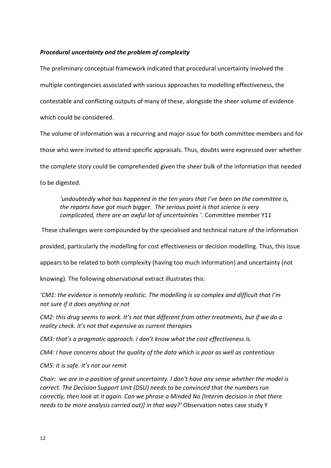#### *Procedural uncertainty and the problem of complexity*

The preliminary conceptual framework indicated that procedural uncertainty involved the multiple contingencies associated with various approaches to modelling effectiveness, the contestable and conflicting outputs of many of these, alongside the sheer volume of evidence which could be considered.

The volume of information was a recurring and major issue for both committee members and for those who were invited to attend specific appraisals. Thus, doubts were expressed over whether the complete story could be comprehended given the sheer bulk of the information that needed to be digested.

*'undoubtedly what has happened in the ten years that I've been on the committee is. the reports have got much bigger. The serious point is that science is very complicated, there are an awful lot of uncertainties* '. Committee member Y11

These challenges were compounded by the specialised and technical nature of the information

provided, particularly the modelling for cost effectiveness or decision modelling. Thus, this issue

appears to be related to both complexity (having too much information) and uncertainty (not

knowing). The following observational extract illustrates this:

*CM1: the evidence is remotely realistic. The modelling is so complex and difficult that I'm not sure if it does anything or not* 

*CM2: this drug seems to work. It's not that different from other treatments, but if we do a reality check. It's not that expensive as current therapies* 

*CM3: that's a pragmatic approach. I don't know what the cost effectiveness is.* 

*CM4: I have concerns about the quality of the data which is poor as well as contentious* 

*CM5: it is safe. It's not our remit* 

*Chair:* we are in a position of great uncertainty. I don't have any sense whether the model is *correct. The Decision Support Unit (DSU) needs to be convinced that the numbers run correctly, then look at it again. Can we phrase a Minded No [Interim decision in that there needs to be more analysis carried out)] in that way?げ* Observation notes case study Y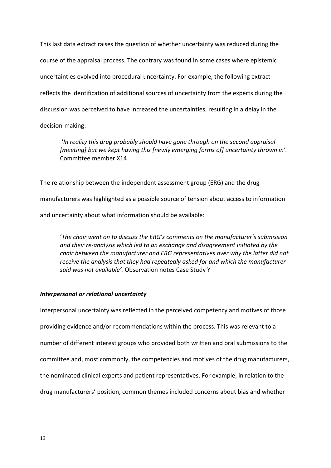This last data extract raises the question of whether uncertainty was reduced during the course of the appraisal process. The contrary was found in some cases where epistemic uncertainties evolved into procedural uncertainty. For example, the following extract reflects the identification of additional sources of uncertainty from the experts during the discussion was perceived to have increased the uncertainties, resulting in a delay in the decision-making:

**け***In reality this drug probably should have gone through on the second appraisal [meeting] but we kept having this [newly emerging forms of] uncertainty thrown in'.* Committee member X14

The relationship between the independent assessment group (ERG) and the drug manufacturers was highlighted as a possible source of tension about access to information and uncertainty about what information should be available:

*'The chair went on to discuss the ERG's comments on the manufacturer's submission and their re-analysis which led to an exchange and disagreement initiated by the chair between the manufacturer and ERG representatives over why the latter did not receive the analysis that they had repeatedly asked for and which the manufacturer*  said was not available<sup>2</sup>. Observation notes Case Study Y

#### *Interpersonal or relational uncertainty*

Interpersonal uncertainty was reflected in the perceived competency and motives of those providing evidence and/or recommendations within the process. This was relevant to a number of different interest groups who provided both written and oral submissions to the committee and, most commonly, the competencies and motives of the drug manufacturers, the nominated clinical experts and patient representatives. For example, in relation to the drug manufacturers' position, common themes included concerns about bias and whether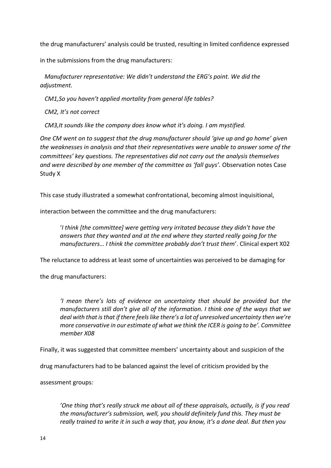the drug manufacturers' analysis could be trusted, resulting in limited confidence expressed

in the submissions from the drug manufacturers:

*Manufacturer representative: We didn't understand the ERG's point. We did the adjustment.* 

*CM1,So you haven't applied mortality from general life tables?* 

*CM2, It's not correct* 

*CM3,It sounds like the company does know what it's doing. I am mystified.* 

*One CM went on to suggest that the drug manufacturer should 'give up and go home' given the weaknesses in analysis and that their representatives were unable to answer some of the COMMITTERS'* key questions. The representatives did not carry out the analysis themselves *and were described by one member of the committee as 'fall guys'.* Observation notes Case Study X

This case study illustrated a somewhat confrontational, becoming almost inquisitional,

interaction between the committee and the drug manufacturers:

'I think [the committee] were getting very irritated because they didn't have the *answers that they wanted and at the end where they started really going for the manufacturers... I think the committee probably don't trust them'*. Clinical expert X02

The reluctance to address at least some of uncertainties was perceived to be damaging for

the drug manufacturers:

*I* mean there's lots of evidence on uncertainty that should be provided but the *manufacturers still don't give all of the information. I think one of the ways that we* deal with that is that if there feels like there's a lot of unresolved uncertainty then we're *more conservative in our estimate of what we think the ICER is going to be<sup>* $\prime$ *</sup>. Committee member X08*

Finally, it was suggested that committee members' uncertainty about and suspicion of the

drug manufacturers had to be balanced against the level of criticism provided by the

assessment groups*:* 

*'One thing that's really struck me about all of these appraisals, actually, is if you read the manufacturer's submission, well, you should definitely fund this. They must be really trained to write it in such a way that, you know, it's a done deal. But then you*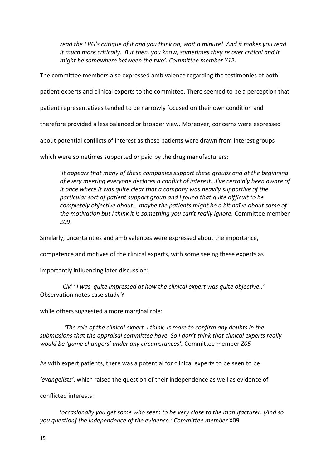read the ERG's critique of it and you think oh, wait a minute! And it makes you read *it much more critically. But then, you know, sometimes they're over critical and it might be somewhere between the two<sup>2</sup>. Committee member Y12.* 

The committee members also expressed ambivalence regarding the testimonies of both

patient experts and clinical experts to the committee. There seemed to be a perception that

patient representatives tended to be narrowly focused on their own condition and

therefore provided a less balanced or broader view. Moreover, concerns were expressed

about potential conflicts of interest as these patients were drawn from interest groups

which were sometimes supported or paid by the drug manufacturers:

け*It appears that many of these companies support these groups and at the beginning*  of every meeting everyone declares a conflict of interest<sub>ing</sub>' ve certainly been aware of *it once where it was quite clear that a company was heavily supportive of the particular sort of patient support group and I found that quite difficult to be Completely objective about... maybe the patients might be a bit naïve about some of the motivation but I think it is something you can't really ignore. Committee member Z09*.

Similarly, uncertainties and ambivalences were expressed about the importance,

competence and motives of the clinical experts, with some seeing these experts as

importantly influencing later discussion:

*CM 'I was quite impressed at how the clinical expert was quite objective..'* Observation notes case study Y

while others suggested a more marginal role:

*<i>'The role of the clinical expert, I think, is more to confirm any doubts in the submissions that the appraisal committee have. So I don't think that clinical experts really would be けgame changersげ under any circumstancesげく* Committee member *Z05*

As with expert patients, there was a potential for clinical experts to be seen to be

'evangelists', which raised the question of their independence as well as evidence of

conflicted interests:

 **け***occasionally you get some who seem to be very close to the manufacturer. [And so you question] the independence of the evidence.<sup><i>'*</sup> Committee member X09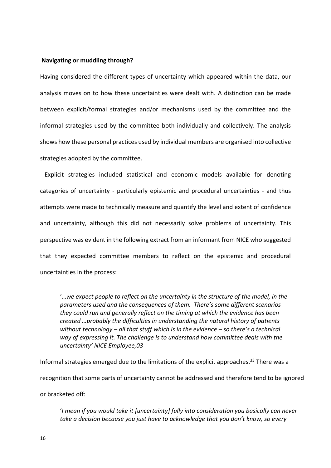#### **Navigating or muddling through?**

Having considered the different types of uncertainty which appeared within the data, our analysis moves on to how these uncertainties were dealt with. A distinction can be made between explicit/formal strategies and/or mechanisms used by the committee and the informal strategies used by the committee both individually and collectively. The analysis shows how these personal practices used by individual members are organised into collective strategies adopted by the committee.

 Explicit strategies included statistical and economic models available for denoting categories of uncertainty - particularly epistemic and procedural uncertainties - and thus attempts were made to technically measure and quantify the level and extent of confidence and uncertainty, although this did not necessarily solve problems of uncertainty. This perspective was evident in the following extract from an informant from NICE who suggested that they expected committee members to reflect on the epistemic and procedural uncertainties in the process:

"...we expect people to reflect on the uncertainty in the structure of the model, in the parameters used and the consequences of them. There's some different scenarios *they could run and generally reflect on the timing at which the evidence has been <i>Created ...probably the difficulties in understanding the natural history of patients without technology – all that stuff which is in the evidence – so there's a technical way of expressing it. The challenge is to understand how committee deals with the uncertaintyげ NICE Employee,03* 

Informal strategies emerged due to the limitations of the explicit approaches.<sup>33</sup> There was a recognition that some parts of uncertainty cannot be addressed and therefore tend to be ignored or bracketed off:

け*I mean if you would take it [uncertainty] fully into consideration you basically can never take a decision because you just have to acknowledge that you don't know, so every*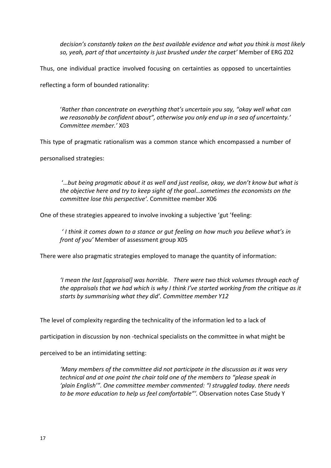*decision's constantly taken on the best available evidence and what you think is most likely so, yeah, part of that uncertainty is just brushed under the carpet'* Member of ERG Z02

Thus, one individual practice involved focusing on certainties as opposed to uncertainties

reflecting a form of bounded rationality:

'Rather than concentrate on everything that's uncertain you say, "okay well what can we reasonably be confident about", otherwise you only end up in a sea of uncertainty.' *Committee member.'* X03

This type of pragmatic rationalism was a common stance which encompassed a number of

personalised strategies:

fuibut being pragmatic about it as well and just realise, okay, we don't know but what is the objective here and try to keep sight of the goal...sometimes the economists on the *committee lose this perspective'*. Committee member X06

One of these strategies appeared to involve invoking a subjective 'gut 'feeling:

*'I think it comes down to a stance or qut feeling on how much you believe what's in front of you'* Member of assessment group X05

There were also pragmatic strategies employed to manage the quantity of information:

*'I mean the last [appraisal] was horrible. There were two thick volumes through each of the appraisals that we had which is why I think I've started working from the critique as it starts by summarising what they did'. Committee member Y12* 

The level of complexity regarding the technicality of the information led to a lack of

participation in discussion by non -technical specialists on the committee in what might be

perceived to be an intimidating setting:

*Herawre members of the committee did not participate in the discussion as it was very*  $\overline{a}$ *technical and at one point the chair told one of the members to "please speak in けヮノ;キミ Eミェノキゲエげざく One committee member commented: さI struggled today. there needs to be more education to help us feel comfortable<sup><i>"*</sup>. Observation notes Case Study Y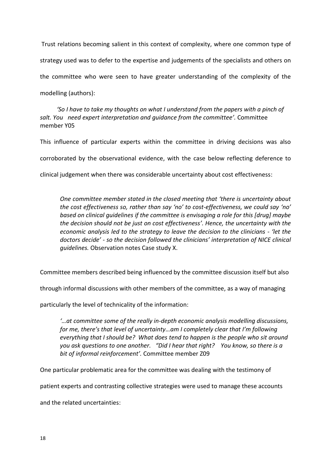Trust relations becoming salient in this context of complexity, where one common type of strategy used was to defer to the expertise and judgements of the specialists and others on the committee who were seen to have greater understanding of the complexity of the modelling (authors):

*'So I have to take my thoughts on what I understand from the papers with a pinch of salt. You need expert interpretation and guidance from the committee<sup>'</sup>. Committee* member Y05

This influence of particular experts within the committee in driving decisions was also corroborated by the observational evidence, with the case below reflecting deference to clinical judgement when there was considerable uncertainty about cost effectiveness:

*One committee member stated in the closed meeting that 'there is uncertainty about the cost effectiveness so, rather than say けnoげ to cost-effectiveness, we could say けnoげ based on clinical guidelines if the committee is envisaging a role for this [drug] maybe the decision should not be just on cost effectivenessげ. Hence, the uncertainty with the economic analysis led to the strategy to leave the decision to the clinicians - 'let the doctors decide' - so the decision followed the clinicians' interpretation of NICE clinical guidelines.* Observation notes Case study X.

Committee members described being influenced by the committee discussion itself but also

through informal discussions with other members of the committee, as a way of managing

particularly the level of technicality of the information:

*けぐat committee some of the really in-depth economic analysis modelling discussions, for me, there's that level of uncertainty...am I completely clear that I'm following everything that I should be? What does tend to happen is the people who sit around you ask questions to one another. "Did I hear that right? You know, so there is a bit of informal reinforcement'.* Committee member Z09

One particular problematic area for the committee was dealing with the testimony of

patient experts and contrasting collective strategies were used to manage these accounts

and the related uncertainties: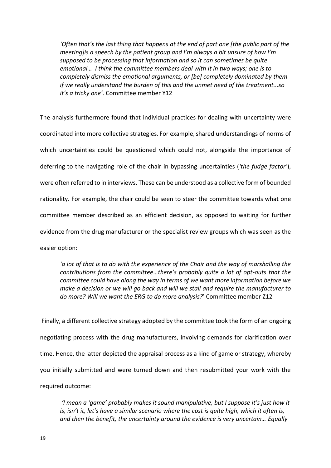*'Often that's the last thing that happens at the end of part one [the public part of the meeting]is a speech by the patient group and I'm always a bit unsure of how I'm supposed to be processing that information and so it can sometimes be quite emotional...* I think the committee members deal with it in two ways; one is to *completely dismiss the emotional arguments, or [be] completely dominated by them if we really understand the burden of this and the unmet need of the treatment...so it's a tricky one'.* Committee member Y12

The analysis furthermore found that individual practices for dealing with uncertainty were coordinated into more collective strategies. For example, shared understandings of norms of which uncertainties could be questioned which could not, alongside the importance of deferring to the navigating role of the chair in bypassing uncertainties (*'the fudge factor'*), were often referred to in interviews. These can be understood as a collective form of bounded rationality. For example, the chair could be seen to steer the committee towards what one committee member described as an efficient decision, as opposed to waiting for further evidence from the drug manufacturer or the specialist review groups which was seen as the easier option:

*けa lot of that is to do with the experience of the Chair and the way of marshalling the contributions from the committee...there's probably quite a lot of opt-outs that the committee could have along the way in terms of we want more information before we make a decision or we will go back and will we stall and require the manufacturer to do more? Will we want the ERG to do more analysis?*げ Committee member Z12

 Finally, a different collective strategy adopted by the committee took the form of an ongoing negotiating process with the drug manufacturers, involving demands for clarification over time. Hence, the latter depicted the appraisal process as a kind of game or strategy, whereby you initially submitted and were turned down and then resubmitted your work with the required outcome:

*I mean a 'qame' probably makes it sound manipulative, but I suppose it's just how it is, isn't it, let's have a similar scenario where the cost is quite high, which it often is, and then the benefit, the uncertainty around the evidence is very uncertain... Equally*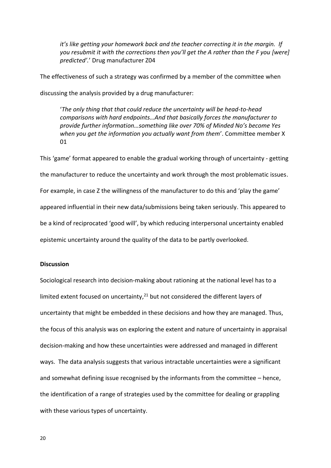*it's like getting your homework back and the teacher correcting it in the margin. If <i>YOU resubmit it with the corrections then you'll get the A rather than the F you [were] predicted'.*' Drug manufacturer Z04

The effectiveness of such a strategy was confirmed by a member of the committee when

discussing the analysis provided by a drug manufacturer:

け*The only thing that that could reduce the uncertainty will be head-to-head comparisons with hard endpointsぐAnd that basically forces the manufacturer to provide further information...something like over 70% of Minded No's become Yes* when you get the information you actually want from them<sup>'</sup>. Committee member X 01

This 'game' format appeared to enable the gradual working through of uncertainty - getting the manufacturer to reduce the uncertainty and work through the most problematic issues. For example, in case Z the willingness of the manufacturer to do this and 'play the game' appeared influential in their new data/submissions being taken seriously. This appeared to be a kind of reciprocated 'good will', by which reducing interpersonal uncertainty enabled epistemic uncertainty around the quality of the data to be partly overlooked.

#### **Discussion**

Sociological research into decision-making about rationing at the national level has to a limited extent focused on uncertainty, $21$  but not considered the different layers of uncertainty that might be embedded in these decisions and how they are managed. Thus, the focus of this analysis was on exploring the extent and nature of uncertainty in appraisal decision-making and how these uncertainties were addressed and managed in different ways. The data analysis suggests that various intractable uncertainties were a significant and somewhat defining issue recognised by the informants from the committee  $-$  hence, the identification of a range of strategies used by the committee for dealing or grappling with these various types of uncertainty.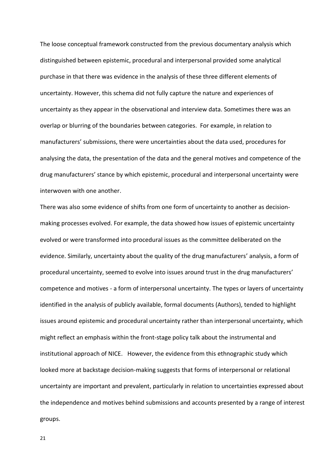The loose conceptual framework constructed from the previous documentary analysis which distinguished between epistemic, procedural and interpersonal provided some analytical purchase in that there was evidence in the analysis of these three different elements of uncertainty. However, this schema did not fully capture the nature and experiences of uncertainty as they appear in the observational and interview data. Sometimes there was an overlap or blurring of the boundaries between categories. For example, in relation to manufacturers' submissions, there were uncertainties about the data used, procedures for analysing the data, the presentation of the data and the general motives and competence of the drug manufacturers' stance by which epistemic, procedural and interpersonal uncertainty were interwoven with one another.

There was also some evidence of shifts from one form of uncertainty to another as decisionmaking processes evolved. For example, the data showed how issues of epistemic uncertainty evolved or were transformed into procedural issues as the committee deliberated on the evidence. Similarly, uncertainty about the quality of the drug manufacturers' analysis, a form of procedural uncertainty, seemed to evolve into issues around trust in the drug manufacturers' competence and motives - a form of interpersonal uncertainty. The types or layers of uncertainty identified in the analysis of publicly available, formal documents (Authors), tended to highlight issues around epistemic and procedural uncertainty rather than interpersonal uncertainty, which might reflect an emphasis within the front-stage policy talk about the instrumental and institutional approach of NICE. However, the evidence from this ethnographic study which looked more at backstage decision-making suggests that forms of interpersonal or relational uncertainty are important and prevalent, particularly in relation to uncertainties expressed about the independence and motives behind submissions and accounts presented by a range of interest groups.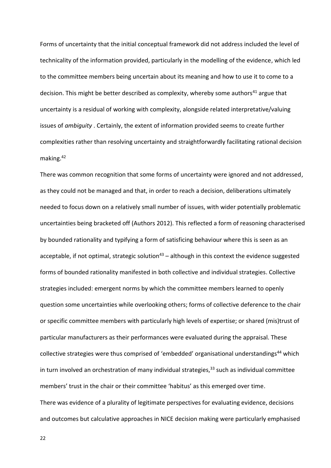Forms of uncertainty that the initial conceptual framework did not address included the level of technicality of the information provided, particularly in the modelling of the evidence, which led to the committee members being uncertain about its meaning and how to use it to come to a decision. This might be better described as complexity, whereby some authors<sup>41</sup> argue that uncertainty is a residual of working with complexity, alongside related interpretative/valuing issues of *ambiguity* . Certainly, the extent of information provided seems to create further complexities rather than resolving uncertainty and straightforwardly facilitating rational decision making.<sup>42</sup>

There was common recognition that some forms of uncertainty were ignored and not addressed, as they could not be managed and that, in order to reach a decision, deliberations ultimately needed to focus down on a relatively small number of issues, with wider potentially problematic uncertainties being bracketed off (Authors 2012). This reflected a form of reasoning characterised by bounded rationality and typifying a form of satisficing behaviour where this is seen as an acceptable, if not optimal, strategic solution<sup>43</sup> – although in this context the evidence suggested forms of bounded rationality manifested in both collective and individual strategies. Collective strategies included: emergent norms by which the committee members learned to openly question some uncertainties while overlooking others; forms of collective deference to the chair or specific committee members with particularly high levels of expertise; or shared (mis)trust of particular manufacturers as their performances were evaluated during the appraisal. These collective strategies were thus comprised of 'embedded' organisational understandings<sup>44</sup> which in turn involved an orchestration of many individual strategies, $33$  such as individual committee members' trust in the chair or their committee 'habitus' as this emerged over time. There was evidence of a plurality of legitimate perspectives for evaluating evidence, decisions and outcomes but calculative approaches in NICE decision making were particularly emphasised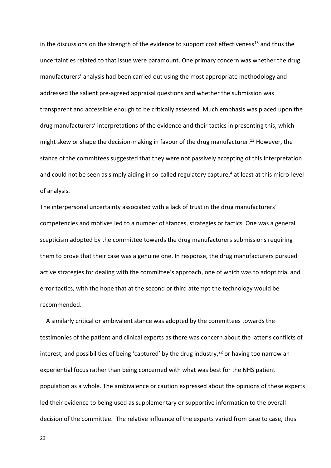in the discussions on the strength of the evidence to support cost effectiveness<sup>13</sup> and thus the uncertainties related to that issue were paramount. One primary concern was whether the drug manufacturers' analysis had been carried out using the most appropriate methodology and addressed the salient pre-agreed appraisal questions and whether the submission was transparent and accessible enough to be critically assessed. Much emphasis was placed upon the drug manufacturers' interpretations of the evidence and their tactics in presenting this, which might skew or shape the decision-making in favour of the drug manufacturer.<sup>13</sup> However, the stance of the committees suggested that they were not passively accepting of this interpretation and could not be seen as simply aiding in so-called regulatory capture, $4$  at least at this micro-level of analysis.

The interpersonal uncertainty associated with a lack of trust in the drug manufacturers' competencies and motives led to a number of stances, strategies or tactics. One was a general scepticism adopted by the committee towards the drug manufacturers submissions requiring them to prove that their case was a genuine one. In response, the drug manufacturers pursued active strategies for dealing with the committee's approach, one of which was to adopt trial and error tactics, with the hope that at the second or third attempt the technology would be recommended.

 A similarly critical or ambivalent stance was adopted by the committees towards the testimonies of the patient and clinical experts as there was concern about the latter's conflicts of interest, and possibilities of being 'captured' by the drug industry,<sup>22</sup> or having too narrow an experiential focus rather than being concerned with what was best for the NHS patient population as a whole. The ambivalence or caution expressed about the opinions of these experts led their evidence to being used as supplementary or supportive information to the overall decision of the committee. The relative influence of the experts varied from case to case, thus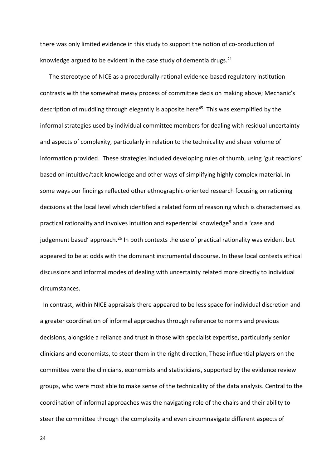there was only limited evidence in this study to support the notion of co-production of knowledge argued to be evident in the case study of dementia drugs. $^{21}$ 

 The stereotype of NICE as a procedurally-rational evidence-based regulatory institution contrasts with the somewhat messy process of committee decision making above; Mechanic's description of muddling through elegantly is apposite here<sup>45</sup>. This was exemplified by the informal strategies used by individual committee members for dealing with residual uncertainty and aspects of complexity, particularly in relation to the technicality and sheer volume of information provided. These strategies included developing rules of thumb, using 'gut reactions' based on intuitive/tacit knowledge and other ways of simplifying highly complex material. In some ways our findings reflected other ethnographic-oriented research focusing on rationing decisions at the local level which identified a related form of reasoning which is characterised as practical rationality and involves intuition and experiential knowledge<sup>9</sup> and a 'case and judgement based' approach.<sup>26</sup> In both contexts the use of practical rationality was evident but appeared to be at odds with the dominant instrumental discourse. In these local contexts ethical discussions and informal modes of dealing with uncertainty related more directly to individual circumstances.

 In contrast, within NICE appraisals there appeared to be less space for individual discretion and a greater coordination of informal approaches through reference to norms and previous decisions, alongside a reliance and trust in those with specialist expertise, particularly senior clinicians and economists, to steer them in the right direction. These influential players on the committee were the clinicians, economists and statisticians, supported by the evidence review groups, who were most able to make sense of the technicality of the data analysis. Central to the coordination of informal approaches was the navigating role of the chairs and their ability to steer the committee through the complexity and even circumnavigate different aspects of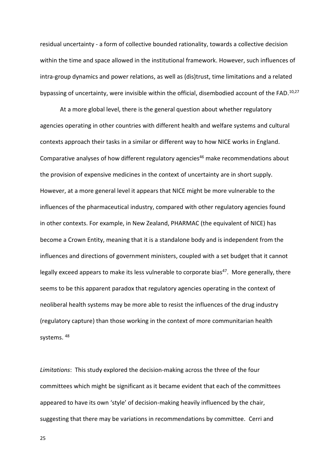residual uncertainty - a form of collective bounded rationality, towards a collective decision within the time and space allowed in the institutional framework. However, such influences of intra-group dynamics and power relations, as well as (dis)trust, time limitations and a related bypassing of uncertainty, were invisible within the official, disembodied account of the FAD.<sup>10,27</sup>

At a more global level, there is the general question about whether regulatory agencies operating in other countries with different health and welfare systems and cultural contexts approach their tasks in a similar or different way to how NICE works in England. Comparative analyses of how different regulatory agencies <sup>46</sup> make recommendations about the provision of expensive medicines in the context of uncertainty are in short supply. However, at a more general level it appears that NICE might be more vulnerable to the influences of the pharmaceutical industry, compared with other regulatory agencies found in other contexts. For example, in New Zealand, PHARMAC (the equivalent of NICE) has become a Crown Entity, meaning that it is a standalone body and is independent from the influences and directions of government ministers, coupled with a set budget that it cannot legally exceed appears to make its less vulnerable to corporate bias<sup>47</sup>. More generally, there seems to be this apparent paradox that regulatory agencies operating in the context of neoliberal health systems may be more able to resist the influences of the drug industry (regulatory capture) than those working in the context of more communitarian health systems. 48

*Limitations*: This study explored the decision-making across the three of the four committees which might be significant as it became evident that each of the committees appeared to have its own 'style' of decision-making heavily influenced by the chair, suggesting that there may be variations in recommendations by committee. Cerri and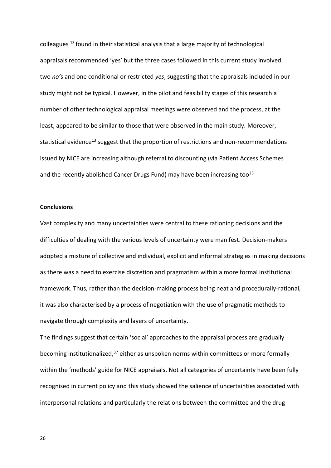colleagues <sup>13</sup>found in their statistical analysis that a large majority of technological appraisals recommended 'yes' but the three cases followed in this current study involved two no's and one conditional or restricted *yes*, suggesting that the appraisals included in our study might not be typical. However, in the pilot and feasibility stages of this research a number of other technological appraisal meetings were observed and the process, at the least, appeared to be similar to those that were observed in the main study. Moreover, statistical evidence<sup>13</sup> suggest that the proportion of restrictions and non-recommendations issued by NICE are increasing although referral to discounting (via Patient Access Schemes and the recently abolished Cancer Drugs Fund) may have been increasing too<sup>23</sup>

#### **Conclusions**

Vast complexity and many uncertainties were central to these rationing decisions and the difficulties of dealing with the various levels of uncertainty were manifest. Decision-makers adopted a mixture of collective and individual, explicit and informal strategies in making decisions as there was a need to exercise discretion and pragmatism within a more formal institutional framework. Thus, rather than the decision-making process being neat and procedurally-rational, it was also characterised by a process of negotiation with the use of pragmatic methods to navigate through complexity and layers of uncertainty.

The findings suggest that certain 'social' approaches to the appraisal process are gradually becoming institutionalized, $37$  either as unspoken norms within committees or more formally within the 'methods' guide for NICE appraisals. Not all categories of uncertainty have been fully recognised in current policy and this study showed the salience of uncertainties associated with interpersonal relations and particularly the relations between the committee and the drug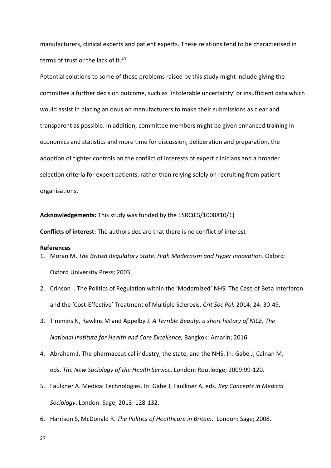manufacturers, clinical experts and patient experts. These relations tend to be characterised in terms of trust or the lack of it.<sup>49</sup>

Potential solutions to some of these problems raised by this study might include giving the committee a further decision outcome, such as 'intolerable uncertainty' or insufficient data which would assist in placing an onus on manufacturers to make their submissions as clear and transparent as possible. In addition, committee members might be given enhanced training in economics and statistics and more time for discussion, deliberation and preparation, the adoption of tighter controls on the conflict of interests of expert clinicians and a broader selection criteria for expert patients, rather than relying solely on recruiting from patient organisations.

#### **Acknowledgements:** This study was funded by the ESRC(ES/1008810/1)

**Conflicts of interest:** The authors declare that there is no conflict of interest

#### **References**

- 1. Moran M. *The British Regulatory State: High Modernism and Hyper Innovation*. Oxford: Oxford University Press; 2003.
- 2. Crinson I. The Politics of Regulation within the 'Modernized' NHS: The Case of Beta Interferon and the 'Cost-Effective' Treatment of Multiple Sclerosis. Crit Soc Pol. 2014; 24: 30-49.
- 3. Timmins N, Rawlins M and Appelby J. *A Terrible Beauty: a short history of NICE, The National Institute for Health and Care Excellence,* Bangkok: Amarin; 2016
- 4. Abraham J. The pharmaceutical industry, the state, and the NHS. In: Gabe J, Calnan M, eds. *The New Sociology of the Health Service.* London: Routledge; 2009:99-120.
- 5. Faulkner A. Medical Technologies. In: Gabe J, Faulkner A, eds. *Key Concepts in Medical Sociology*. London: Sage; 2013: 128-132.
- 6. Harrison S, McDonald R. *The Politics of Healthcare in Britain*. London: Sage; 2008.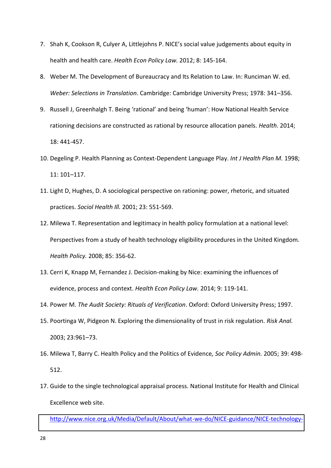- 7. Shah K, Cookson R, Culyer A, Littlejohns P. NICE's social value judgements about equity in health and health care. *Health Econ Policy Law.* 2012; 8: 145-164.
- 8. Weber M. The Development of Bureaucracy and Its Relation to Law. In: Runciman W. ed. *Weber: Selections in Translation*. Cambridge: Cambridge University Press; 1978: 341–356.
- 9. Russell J, Greenhalgh T. Being 'rational' and being 'human': How National Health Service rationing decisions are constructed as rational by resource allocation panels. *Health*. 2014; 18: 441-457.
- 10. Degeling P. Health Planning as Context-Dependent Language Play. *Int J Health Plan M.* 1998; 11: 101-117.
- 11. Light D, Hughes, D. A sociological perspective on rationing: power, rhetoric, and situated practices. *Sociol Health Ill.* 2001; 23: 551-569.
- 12. Milewa T. Representation and legitimacy in health policy formulation at a national level: Perspectives from a study of health technology eligibility procedures in the United Kingdom. *Health Policy.* 2008; 85: 356-62.
- 13. Cerri K, Knapp M, Fernandez J. Decision-making by Nice: examining the influences of evidence, process and context. *Health Econ Policy Law.* 2014; 9: 119-141.
- 14. Power M. *The Audit Society: Rituals of Verification*. Oxford: Oxford University Press; 1997.
- 15. Poortinga W, Pidgeon N. Exploring the dimensionality of trust in risk regulation. *Risk Anal.* 2003; 23:961-73.
- 16. Milewa T, Barry C. Health Policy and the Politics of Evidence*, Soc Policy Admin.* 2005; 39: 498- 512.
- 17. Guide to the single technological appraisal process. National Institute for Health and Clinical Excellence web site.

[http://www.nice.org.uk/Media/Default/About/what-we-do/NICE-guidance/NICE-technology-](http://www.nice.org.uk/Media/Default/About/what-we-do/NICE-guidance/NICE-technology-appraisals/Guide-to-the-single-technology-appraisal-process.pdf)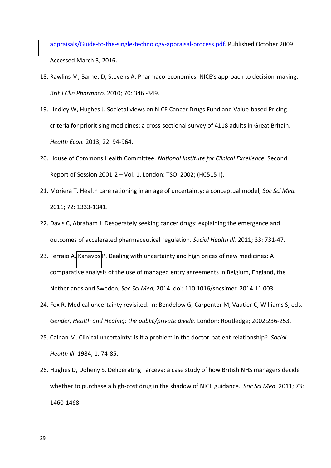[appraisals/Guide-to-the-single-technology-appraisal-process.pdf.](http://www.nice.org.uk/Media/Default/About/what-we-do/NICE-guidance/NICE-technology-appraisals/Guide-to-the-single-technology-appraisal-process.pdf) Published October 2009. Accessed March 3, 2016.

- 18. Rawlins M, Barnet D, Stevens A. Pharmaco-economics: NICE's approach to decision-making, *Brit J Clin Pharmaco.* 2010; 70: 346 -349.
- 19. Lindley W, Hughes J. Societal views on NICE Cancer Drugs Fund and Value-based Pricing criteria for prioritising medicines: a cross-sectional survey of 4118 adults in Great Britain. *Health Econ.* 2013; 22: 94-964.
- 20. House of Commons Health Committee. *National Institute for Clinical Excellence*. Second Report of Session 2001-2 - Vol. 1. London: TSO. 2002; (HC515-I).
- 21. Moriera T. Health care rationing in an age of uncertainty: a conceptual model, *Soc Sci Med.* 2011; 72: 1333-1341.
- 22. Davis C, Abraham J. Desperately seeking cancer drugs: explaining the emergence and outcomes of accelerated pharmaceutical regulation. *Sociol Health Ill.* 2011; 33: 731-47.
- 23. Ferraio A, [Kanavos](http://www.sciencedirect.com/science/article/pii/S0277953614007266##) P. Dealing with uncertainty and high prices of new medicines: A comparative analysis of the use of managed entry agreements in Belgium, England, the Netherlands and Sweden, *Soc Sci Med*; 2014. doi: 110 1016/socsimed 2014.11.003.
- 24. Fox R. Medical uncertainty revisited. In: Bendelow G, Carpenter M, Vautier C, Williams S, eds. *Gender, Health and Healing: the public/private divide*. London: Routledge; 2002:236-253.
- 25. Calnan M. Clinical uncertainty: is it a problem in the doctor-patient relationship? *Sociol Health Ill*. 1984; 1: 74-85.
- 26. Hughes D, Doheny S. Deliberating Tarceva: a case study of how British NHS managers decide whether to purchase a high-cost drug in the shadow of NICE guidance*. Soc Sci Med.* 2011; 73: 1460-1468.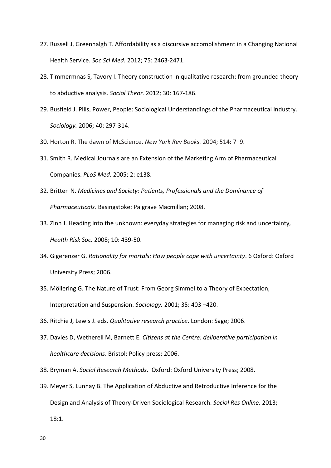- 27. Russell J, Greenhalgh T. Affordability as a discursive accomplishment in a Changing National Health Service. *Soc Sci Med.* 2012; 75: 2463-2471.
- 28. Timmermnas S, Tavory I. Theory construction in qualitative research: from grounded theory to abductive analysis. *Sociol Theor.* 2012; 30: 167-186.
- 29. Busfield J. Pills, Power, People: Sociological Understandings of the Pharmaceutical Industry. *Sociology.* 2006; 40: 297-314.
- 30. Horton R. The dawn of McScience. *New York Rev Books.* 2004; 514: 7-9.
- 31. Smith R. Medical Journals are an Extension of the Marketing Arm of Pharmaceutical Companies. *PLoS Med.* 2005; 2: e138.
- 32. Britten N. *Medicines and Society: Patients, Professionals and the Dominance of Pharmaceuticals.* Basingstoke: Palgrave Macmillan; 2008.
- 33. Zinn J. Heading into the unknown: everyday strategies for managing risk and uncertainty*, Health Risk Soc.* 2008; 10: 439-50.
- 34. Gigerenzer G. *Rationality for mortals: How people cope with uncertainty*. 6 Oxford: Oxford University Press; 2006.
- 35. Möllering G. The Nature of Trust: From Georg Simmel to a Theory of Expectation, Interpretation and Suspension. *Sociology*. 2001; 35: 403 -420.
- 36. Ritchie J, Lewis J. eds. *Qualitative research practice*. London: Sage; 2006.
- 37. Davies D, Wetherell M, Barnett E. *Citizens at the Centre: deliberative participation in healthcare decisions*. Bristol: Policy press; 2006.
- 38. Bryman A. *Social Research Methods*. Oxford: Oxford University Press; 2008.
- 39. Meyer S, Lunnay B. The Application of Abductive and Retroductive Inference for the Design and Analysis of Theory-Driven Sociological Research. *Sociol Res Online.* 2013; 18:1.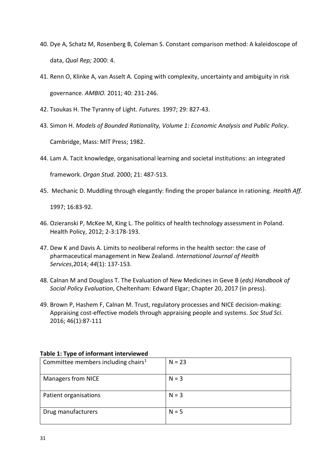- 40. Dye A, Schatz M, Rosenberg B, Coleman S. Constant comparison method: A kaleidoscope of data, *Qual Rep;* 2000: 4.
- 41. Renn O, Klinke A, van Asselt A. Coping with complexity, uncertainty and ambiguity in risk governance. *AMBIO.* 2011; 40: 231-246.
- 42. Tsoukas H. The Tyranny of Light. *Futures.* 1997; 29: 827-43.
- 43. Simon H. *Models of Bounded Rationality, Volume 1: Economic Analysis and Public Policy*.

Cambridge, Mass: MIT Press; 1982.

44. Lam A. Tacit knowledge, organisational learning and societal institutions: an integrated

framework. *Organ Stud.* 2000; 21: 487-513.

45. Mechanic D. Muddling through elegantly: finding the proper balance in rationing. *Health Aff.*

1997; 16:83-92.

- 46. Ozieranski P, McKee M, King L. The politics of health technology assessment in Poland. Health Policy, 2012; 2-3:178-193.
- 47. Dew K and Davis A. Limits to neoliberal reforms in the health sector: the case of pharmaceutical management in New Zealand. *International Journal of Health Services*,2014; *44*(1): 137-153.
- 48. Calnan M and Douglass T. The Evaluation of New Medicines in Geve B (*eds) Handbook of Social Policy Evaluation*, Cheltenham: Edward Elgar; Chapter 20, 2017 (in press).
- 49. Brown P, Hashem F, Calnan M. Trust, regulatory processes and NICE decision-making: Appraising cost-effective models through appraising people and systems. *Soc Stud Sci.*  2016; 46(1):87-111

| . .                                             |          |
|-------------------------------------------------|----------|
| Committee members including chairs <sup>1</sup> | $N = 23$ |
| <b>Managers from NICE</b>                       | $N = 3$  |
| Patient organisations                           | $N = 3$  |
| Drug manufacturers                              | $N = 5$  |

#### **Table 1: Type of informant interviewed**